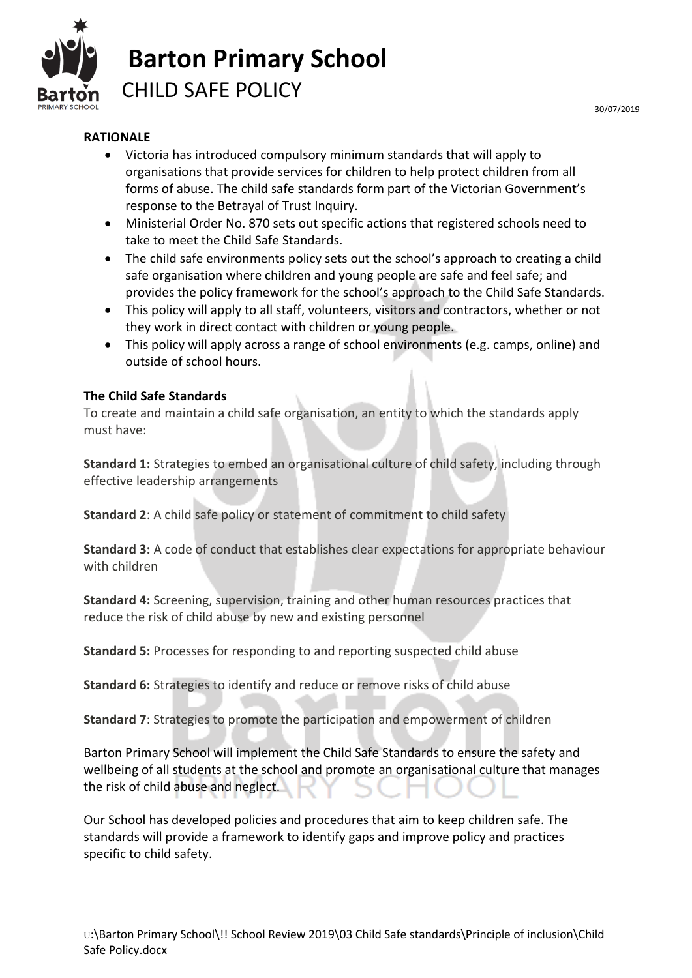

## **RATIONALE**

- Victoria has introduced compulsory minimum standards that will apply to organisations that provide services for children to help protect children from all forms of abuse. The child safe standards form part of the Victorian Government's response to the Betrayal of Trust Inquiry.
- Ministerial Order No. 870 sets out specific actions that registered schools need to take to meet the Child Safe Standards.
- The child safe environments policy sets out the school's approach to creating a child safe organisation where children and young people are safe and feel safe; and provides the policy framework for the school's approach to the Child Safe Standards.
- This policy will apply to all staff, volunteers, visitors and contractors, whether or not they work in direct contact with children or young people.
- This policy will apply across a range of school environments (e.g. camps, online) and outside of school hours.

### **The Child Safe Standards**

To create and maintain a child safe organisation, an entity to which the standards apply must have:

**Standard 1:** Strategies to embed an organisational culture of child safety, including through effective leadership arrangements

**Standard 2**: A child safe policy or statement of commitment to child safety

**Standard 3:** A code of conduct that establishes clear expectations for appropriate behaviour with children

**Standard 4:** Screening, supervision, training and other human resources practices that reduce the risk of child abuse by new and existing personnel

**Standard 5:** Processes for responding to and reporting suspected child abuse

**Standard 6:** Strategies to identify and reduce or remove risks of child abuse

**Standard 7**: Strategies to promote the participation and empowerment of children

Barton Primary School will implement the Child Safe Standards to ensure the safety and wellbeing of all students at the school and promote an organisational culture that manages the risk of child abuse and neglect.

Our School has developed policies and procedures that aim to keep children safe. The standards will provide a framework to identify gaps and improve policy and practices specific to child safety.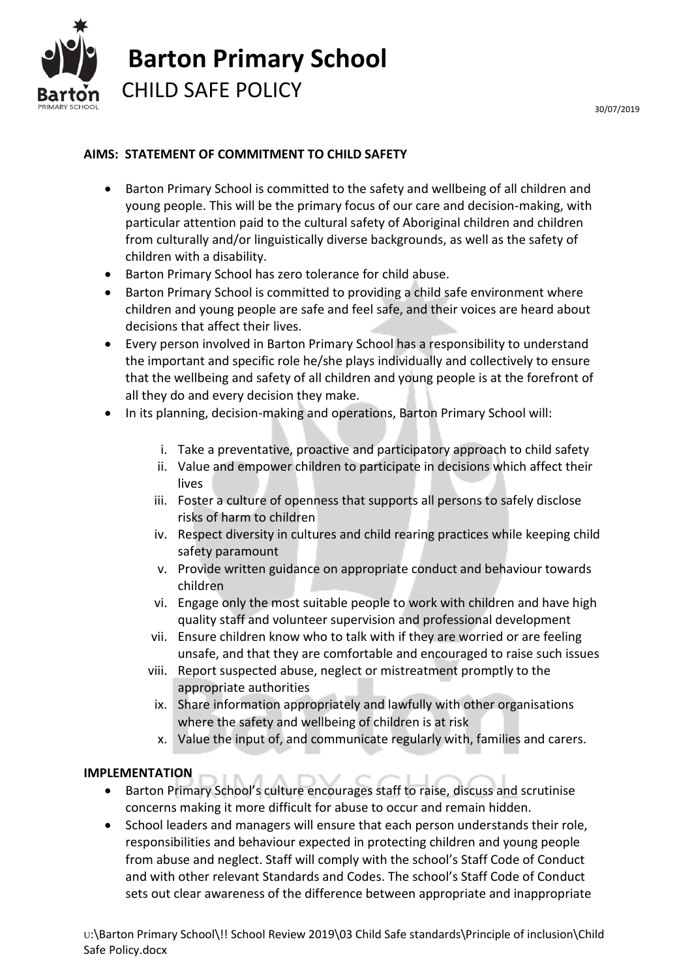

### **AIMS: STATEMENT OF COMMITMENT TO CHILD SAFETY**

- Barton Primary School is committed to the safety and wellbeing of all children and young people. This will be the primary focus of our care and decision-making, with particular attention paid to the cultural safety of Aboriginal children and children from culturally and/or linguistically diverse backgrounds, as well as the safety of children with a disability.
- Barton Primary School has zero tolerance for child abuse.
- Barton Primary School is committed to providing a child safe environment where children and young people are safe and feel safe, and their voices are heard about decisions that affect their lives.
- Every person involved in Barton Primary School has a responsibility to understand the important and specific role he/she plays individually and collectively to ensure that the wellbeing and safety of all children and young people is at the forefront of all they do and every decision they make.
- In its planning, decision-making and operations, Barton Primary School will:
	- i. Take a preventative, proactive and participatory approach to child safety
	- ii. Value and empower children to participate in decisions which affect their lives
	- iii. Foster a culture of openness that supports all persons to safely disclose risks of harm to children
	- iv. Respect diversity in cultures and child rearing practices while keeping child safety paramount
	- v. Provide written guidance on appropriate conduct and behaviour towards children
	- vi. Engage only the most suitable people to work with children and have high quality staff and volunteer supervision and professional development
	- vii. Ensure children know who to talk with if they are worried or are feeling unsafe, and that they are comfortable and encouraged to raise such issues
	- viii. Report suspected abuse, neglect or mistreatment promptly to the appropriate authorities
		- ix. Share information appropriately and lawfully with other organisations where the safety and wellbeing of children is at risk
		- x. Value the input of, and communicate regularly with, families and carers.

### **IMPLEMENTATION**

- Barton Primary School's culture encourages staff to raise, discuss and scrutinise concerns making it more difficult for abuse to occur and remain hidden.
- School leaders and managers will ensure that each person understands their role, responsibilities and behaviour expected in protecting children and young people from abuse and neglect. Staff will comply with the school's Staff Code of Conduct and with other relevant Standards and Codes. The school's Staff Code of Conduct sets out clear awareness of the difference between appropriate and inappropriate

U:\Barton Primary School\!! School Review 2019\03 Child Safe standards\Principle of inclusion\Child Safe Policy.docx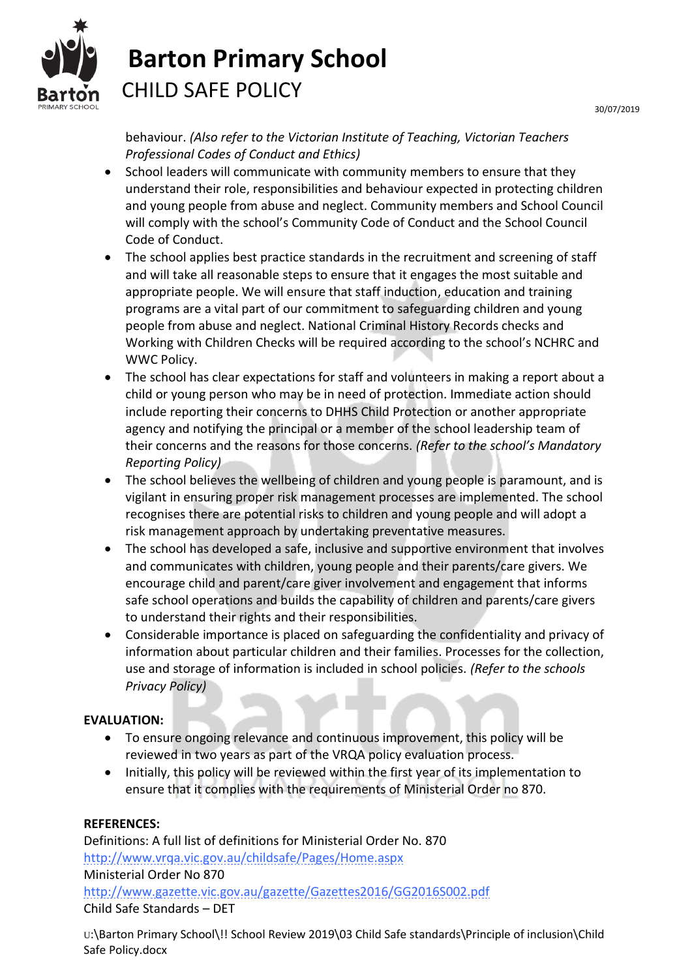

# **Barton Primary School** CHILD SAFE POLICY

behaviour. *(Also refer to the Victorian Institute of Teaching, Victorian Teachers Professional Codes of Conduct and Ethics)*

- School leaders will communicate with community members to ensure that they understand their role, responsibilities and behaviour expected in protecting children and young people from abuse and neglect. Community members and School Council will comply with the school's Community Code of Conduct and the School Council Code of Conduct.
- The school applies best practice standards in the recruitment and screening of staff and will take all reasonable steps to ensure that it engages the most suitable and appropriate people. We will ensure that staff induction, education and training programs are a vital part of our commitment to safeguarding children and young people from abuse and neglect. National Criminal History Records checks and Working with Children Checks will be required according to the school's NCHRC and WWC Policy.
- The school has clear expectations for staff and volunteers in making a report about a child or young person who may be in need of protection. Immediate action should include reporting their concerns to DHHS Child Protection or another appropriate agency and notifying the principal or a member of the school leadership team of their concerns and the reasons for those concerns. *(Refer to the school's Mandatory Reporting Policy)*
- The school believes the wellbeing of children and young people is paramount, and is vigilant in ensuring proper risk management processes are implemented. The school recognises there are potential risks to children and young people and will adopt a risk management approach by undertaking preventative measures.
- The school has developed a safe, inclusive and supportive environment that involves and communicates with children, young people and their parents/care givers. We encourage child and parent/care giver involvement and engagement that informs safe school operations and builds the capability of children and parents/care givers to understand their rights and their responsibilities.
- Considerable importance is placed on safeguarding the confidentiality and privacy of information about particular children and their families. Processes for the collection, use and storage of information is included in school policies. *(Refer to the schools Privacy Policy)*

## **EVALUATION:**

- To ensure ongoing relevance and continuous improvement, this policy will be reviewed in two years as part of the VRQA policy evaluation process.
- Initially, this policy will be reviewed within the first year of its implementation to ensure that it complies with the requirements of Ministerial Order no 870.

## **REFERENCES:**

Definitions: A full list of definitions for Ministerial Order No. 870 <http://www.vrqa.vic.gov.au/childsafe/Pages/Home.aspx> Ministerial Order No 870

<http://www.gazette.vic.gov.au/gazette/Gazettes2016/GG2016S002.pdf> Child Safe Standards – DET

U:\Barton Primary School\!! School Review 2019\03 Child Safe standards\Principle of inclusion\Child Safe Policy.docx